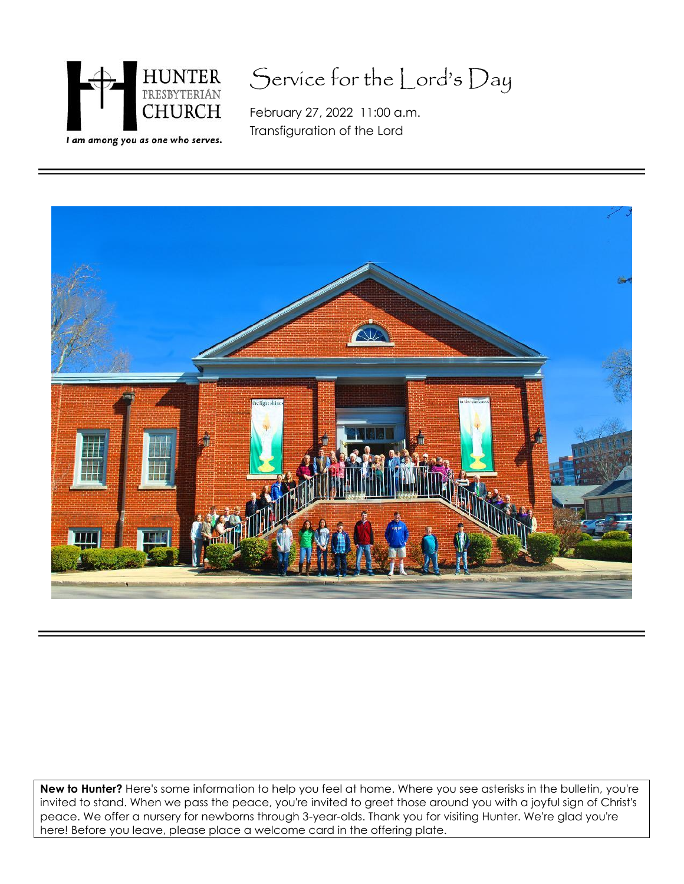

# Service for the Lord's Day

February 27, 2022 11:00 a.m. Transfiguration of the Lord



**New to Hunter?** Here's some information to help you feel at home. Where you see asterisks in the bulletin, you're invited to stand. When we pass the peace, you're invited to greet those around you with a joyful sign of Christ's peace. We offer a nursery for newborns through 3-year-olds. Thank you for visiting Hunter. We're glad you're here! Before you leave, please place a welcome card in the offering plate.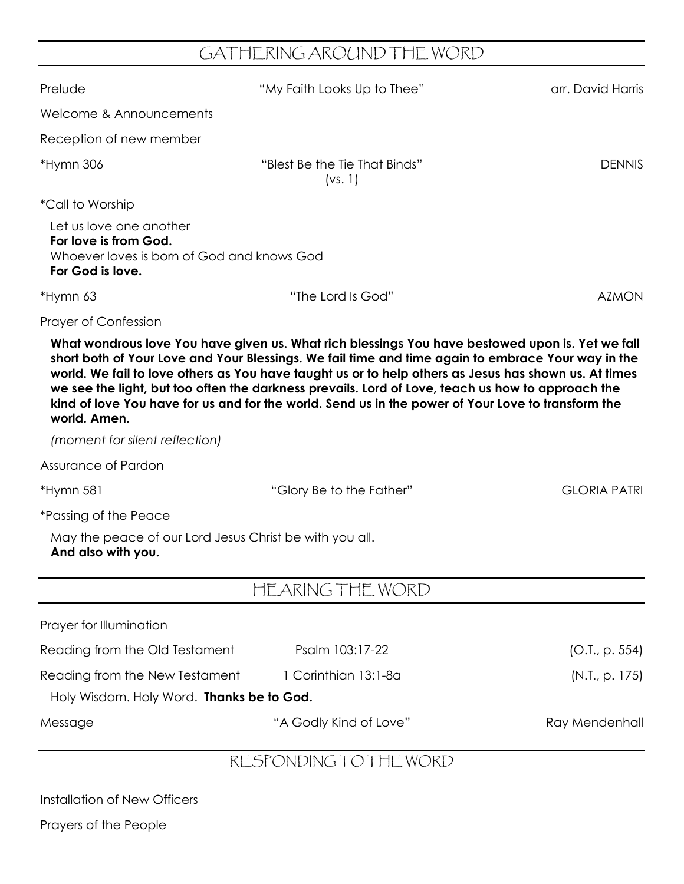## GATHERING AROUND THE WORD

| Prelude                                                                                                            | "My Faith Looks Up to Thee"                                                                                                                                                                                                                                                                                                                                                                                                                                                                                                | arr. David Harris   |
|--------------------------------------------------------------------------------------------------------------------|----------------------------------------------------------------------------------------------------------------------------------------------------------------------------------------------------------------------------------------------------------------------------------------------------------------------------------------------------------------------------------------------------------------------------------------------------------------------------------------------------------------------------|---------------------|
| Welcome & Announcements                                                                                            |                                                                                                                                                                                                                                                                                                                                                                                                                                                                                                                            |                     |
| Reception of new member                                                                                            |                                                                                                                                                                                                                                                                                                                                                                                                                                                                                                                            |                     |
| *Hymn 306                                                                                                          | "Blest Be the Tie That Binds"<br>(vs. 1)                                                                                                                                                                                                                                                                                                                                                                                                                                                                                   | <b>DENNIS</b>       |
| <i>*Call to Worship</i>                                                                                            |                                                                                                                                                                                                                                                                                                                                                                                                                                                                                                                            |                     |
| Let us love one another<br>For love is from God.<br>Whoever loves is born of God and knows God<br>For God is love. |                                                                                                                                                                                                                                                                                                                                                                                                                                                                                                                            |                     |
| *Hymn 63                                                                                                           | "The Lord Is God"                                                                                                                                                                                                                                                                                                                                                                                                                                                                                                          | <b>AZMON</b>        |
| Prayer of Confession                                                                                               |                                                                                                                                                                                                                                                                                                                                                                                                                                                                                                                            |                     |
| world. Amen.                                                                                                       | What wondrous love You have given us. What rich blessings You have bestowed upon is. Yet we fall<br>short both of Your Love and Your Blessings. We fail time and time again to embrace Your way in the<br>world. We fail to love others as You have taught us or to help others as Jesus has shown us. At times<br>we see the light, but too often the darkness prevails. Lord of Love, teach us how to approach the<br>kind of love You have for us and for the world. Send us in the power of Your Love to transform the |                     |
| (moment for silent reflection)                                                                                     |                                                                                                                                                                                                                                                                                                                                                                                                                                                                                                                            |                     |
| Assurance of Pardon                                                                                                |                                                                                                                                                                                                                                                                                                                                                                                                                                                                                                                            |                     |
| *Hymn 581                                                                                                          | "Glory Be to the Father"                                                                                                                                                                                                                                                                                                                                                                                                                                                                                                   | <b>GLORIA PATRI</b> |
| <i>*Passing of the Peace</i>                                                                                       |                                                                                                                                                                                                                                                                                                                                                                                                                                                                                                                            |                     |
| May the peace of our Lord Jesus Christ be with you all.<br>And also with you.                                      |                                                                                                                                                                                                                                                                                                                                                                                                                                                                                                                            |                     |
|                                                                                                                    | HEARING THE WORD                                                                                                                                                                                                                                                                                                                                                                                                                                                                                                           |                     |
| Prayer for Illumination                                                                                            |                                                                                                                                                                                                                                                                                                                                                                                                                                                                                                                            |                     |
| Reading from the Old Testament                                                                                     | Psalm 103:17-22                                                                                                                                                                                                                                                                                                                                                                                                                                                                                                            | (O.I., p. 554)      |
| Reading from the New Testament                                                                                     | 1 Corinthian 13:1-8a                                                                                                                                                                                                                                                                                                                                                                                                                                                                                                       | (N.I., p. 175)      |
| Holy Wisdom. Holy Word. Thanks be to God.                                                                          |                                                                                                                                                                                                                                                                                                                                                                                                                                                                                                                            |                     |
| Message                                                                                                            | "A Godly Kind of Love"                                                                                                                                                                                                                                                                                                                                                                                                                                                                                                     | Ray Mendenhall      |
|                                                                                                                    | RESPONDING TO THE WORD                                                                                                                                                                                                                                                                                                                                                                                                                                                                                                     |                     |

Installation of New Officers

Prayers of the People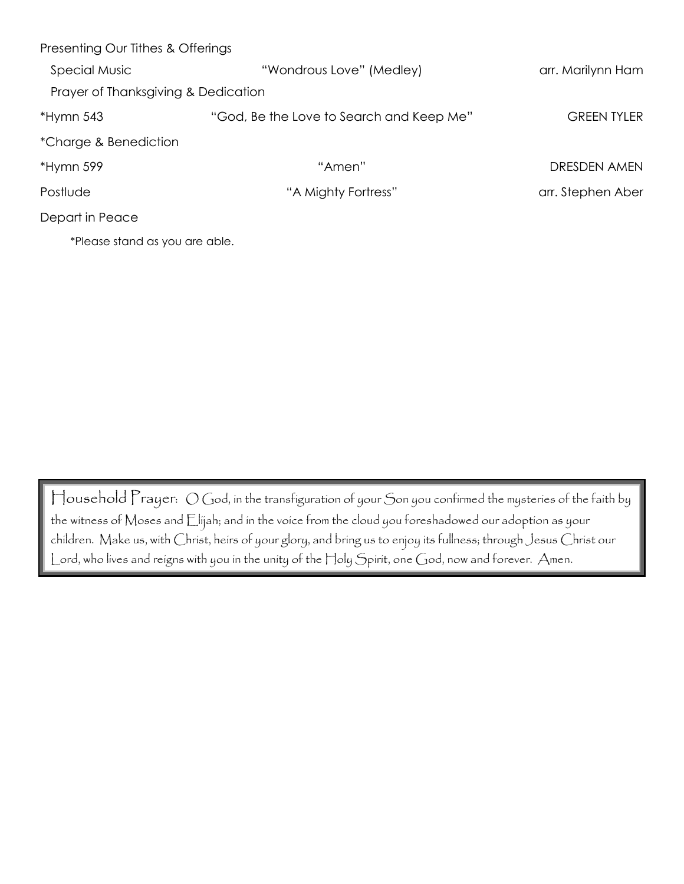| Presenting Our Tithes & Offerings   |                                          |                    |
|-------------------------------------|------------------------------------------|--------------------|
| <b>Special Music</b>                | "Wondrous Love" (Medley)                 | arr. Marilynn Ham  |
| Prayer of Thanksgiving & Dedication |                                          |                    |
| $*Hymn 543$                         | "God, Be the Love to Search and Keep Me" | <b>GREEN TYLER</b> |
| *Charge & Benediction               |                                          |                    |
| *Hymn 599                           | "Amen"                                   | DRESDEN AMEN       |
| Postlude                            | "A Mighty Fortress"                      | arr. Stephen Aber  |
| Depart in Peace                     |                                          |                    |
| *Please stand as you are able.      |                                          |                    |

Household Prayer: O God, in the transfiguration of your Son you confirmed the mysteries of the faith by the witness of Moses and Elijah; and in the voice from the cloud you foreshadowed our adoption as your children. Make us, with Christ, heirs of your glory, and bring us to enjoy its fullness; through Jesus Christ our Lord, who lives and reigns with you in the unity of the Holy Spirit, one God, now and forever. Amen.